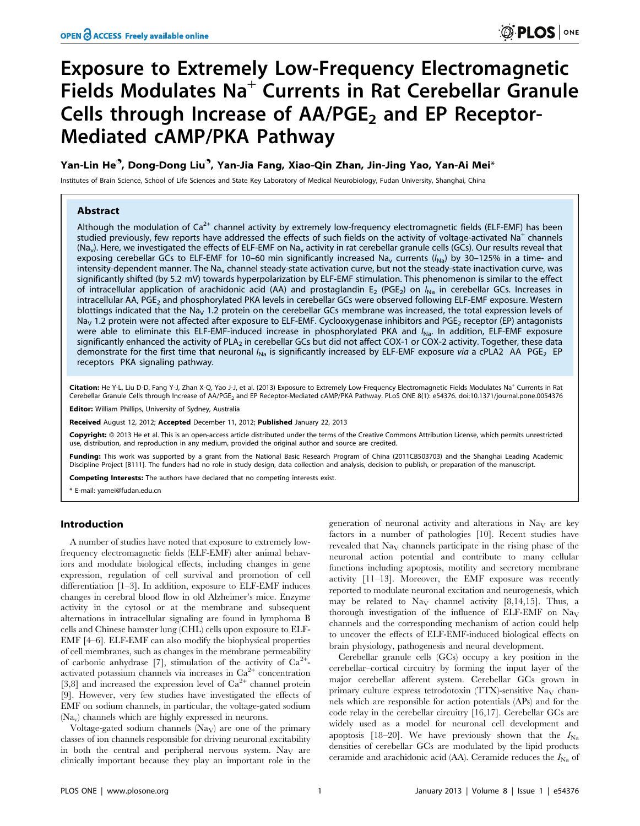# Exposure to Extremely Low-Frequency Electromagnetic Fields Modulates Na<sup>+</sup> Currents in Rat Cerebellar Granule Cells through Increase of  $AA/PGE_2$  and EP Receptor-Mediated cAMP/PKA Pathway

# Yan-Lin He<sup>9</sup>, Dong-Dong Liu<sup>9</sup>, Yan-Jia Fang, Xiao-Qin Zhan, Jin-Jing Yao, Yan-Ai Mei\*

Institutes of Brain Science, School of Life Sciences and State Key Laboratory of Medical Neurobiology, Fudan University, Shanghai, China

# Abstract

Although the modulation of  $Ca^{2+}$  channel activity by extremely low-frequency electromagnetic fields (ELF-EMF) has been studied previously, few reports have addressed the effects of such fields on the activity of voltage-activated Na<sup>+</sup> channels (Na<sub>v</sub>). Here, we investigated the effects of ELF-EMF on Na<sub>v</sub> activity in rat cerebellar granule cells (GCs). Our results reveal that exposing cerebellar GCs to ELF-EMF for 10–60 min significantly increased Na<sub>y</sub> currents ( $I_{N=2}$ ) by 30–125% in a time- and intensity-dependent manner. The Na<sub>v</sub> channel steady-state activation curve, but not the steady-state inactivation curve, was significantly shifted (by 5.2 mV) towards hyperpolarization by ELF-EMF stimulation. This phenomenon is similar to the effect of intracellular application of arachidonic acid (AA) and prostaglandin E<sub>2</sub> (PGE<sub>2</sub>) on  $I_{Na}$  in cerebellar GCs. Increases in intracellular AA, PGE<sub>2</sub> and phosphorylated PKA levels in cerebellar GCs were observed following ELF-EMF exposure. Western blottings indicated that the Na<sub>V</sub> 1.2 protein on the cerebellar GCs membrane was increased, the total expression levels of Na<sub>V</sub> 1.2 protein were not affected after exposure to ELF-EMF. Cyclooxygenase inhibitors and PGE<sub>2</sub> receptor (EP) antagonists were able to eliminate this ELF-EMF-induced increase in phosphorylated PKA and  $I_{\text{Na}}$ . In addition, ELF-EMF exposure significantly enhanced the activity of PLA<sub>2</sub> in cerebellar GCs but did not affect COX-1 or COX-2 activity. Together, these data demonstrate for the first time that neuronal  $I_{Na}$  is significantly increased by ELF-EMF exposure via a cPLA2 AA PGE<sub>2</sub> EP receptors PKA signaling pathway.

Citation: He Y-L, Liu D-D, Fang Y-J, Zhan X-Q, Yao J-J, et al. (2013) Exposure to Extremely Low-Frequency Electromagnetic Fields Modulates Na<sup>+</sup> Currents in Rat Cerebellar Granule Cells through Increase of AA/PGE2 and EP Receptor-Mediated cAMP/PKA Pathway. PLoS ONE 8(1): e54376. doi:10.1371/journal.pone.0054376

Editor: William Phillips, University of Sydney, Australia

Received August 12, 2012; Accepted December 11, 2012; Published January 22, 2013

**Copyright:** © 2013 He et al. This is an open-access article distributed under the terms of the Creative Commons Attribution License, which permits unrestricted use, distribution, and reproduction in any medium, provided the original author and source are credited.

Funding: This work was supported by a grant from the National Basic Research Program of China (2011CB503703) and the Shanghai Leading Academic Discipline Project [B111]. The funders had no role in study design, data collection and analysis, decision to publish, or preparation of the manuscript.

Competing Interests: The authors have declared that no competing interests exist.

\* E-mail: yamei@fudan.edu.cn

# Introduction

A number of studies have noted that exposure to extremely lowfrequency electromagnetic fields (ELF-EMF) alter animal behaviors and modulate biological effects, including changes in gene expression, regulation of cell survival and promotion of cell differentiation [1–3]. In addition, exposure to ELF-EMF induces changes in cerebral blood flow in old Alzheimer's mice. Enzyme activity in the cytosol or at the membrane and subsequent alternations in intracellular signaling are found in lymphoma B cells and Chinese hamster lung (CHL) cells upon exposure to ELF-EMF [4–6]. ELF-EMF can also modify the biophysical properties of cell membranes, such as changes in the membrane permeability of carbonic anhydrase [7], stimulation of the activity of  $Ca^{2+}$ activated potassium channels via increases in  $Ca<sup>2+</sup>$  concentration [3,8] and increased the expression level of  $Ca^{2+}$  channel protein [9]. However, very few studies have investigated the effects of EMF on sodium channels, in particular, the voltage-gated sodium (Nav) channels which are highly expressed in neurons.

Voltage-gated sodium channels  $(Na_V)$  are one of the primary classes of ion channels responsible for driving neuronal excitability in both the central and peripheral nervous system. Na<sub>V</sub> are clinically important because they play an important role in the

generation of neuronal activity and alterations in  $N_{\text{av}}$  are key factors in a number of pathologies [10]. Recent studies have revealed that Na<sub>V</sub> channels participate in the rising phase of the neuronal action potential and contribute to many cellular functions including apoptosis, motility and secretory membrane activity [11–13]. Moreover, the EMF exposure was recently reported to modulate neuronal excitation and neurogenesis, which may be related to  $\text{Nav}$  channel activity [8,14,15]. Thus, a thorough investigation of the influence of ELF-EMF on  $\text{Nay}$ channels and the corresponding mechanism of action could help to uncover the effects of ELF-EMF-induced biological effects on brain physiology, pathogenesis and neural development.

Cerebellar granule cells (GCs) occupy a key position in the cerebellar–cortical circuitry by forming the input layer of the major cerebellar afferent system. Cerebellar GCs grown in primary culture express tetrodotoxin (TTX)-sensitive  $\text{Na}_{\text{V}}$  channels which are responsible for action potentials (APs) and for the code relay in the cerebellar circuitry [16,17]. Cerebellar GCs are widely used as a model for neuronal cell development and apoptosis [18–20]. We have previously shown that the  $I_{\text{Na}}$ densities of cerebellar GCs are modulated by the lipid products ceramide and arachidonic acid (AA). Ceramide reduces the  $I_{\text{Na}}$  of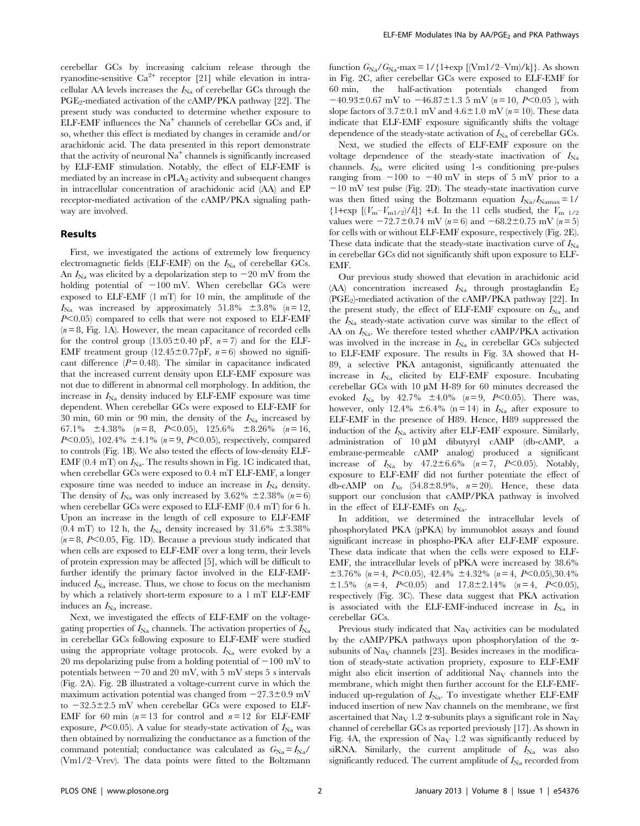cerebellar GCs by increasing calcium release through the ryanodine-sensitive  $Ca^{2+}$  receptor [21] while elevation in intracellular AA levels increases the  $I_{\text{Na}}$  of cerebellar GCs through the  $PGE_2$ -mediated activation of the cAMP/PKA pathway [22]. The present study was conducted to determine whether exposure to ELF-EMF influences the  $Na<sup>+</sup>$  channels of cerebellar GCs and, if so, whether this effect is mediated by changes in ceramide and/or arachidonic acid. The data presented in this report demonstrate that the activity of neuronal  $Na<sup>+</sup>$  channels is significantly increased by ELF-EMF stimulation. Notably, the effect of ELF-EMF is mediated by an increase in  $cPLA_2$  activity and subsequent changes in intracellular concentration of arachidonic acid (AA) and EP receptor-mediated activation of the cAMP/PKA signaling pathway are involved.

# Results

First, we investigated the actions of extremely low frequency electromagnetic fields (ELF-EMF) on the  $I_{\text{Na}}$  of cerebellar GCs. An  $I_{\text{Na}}$  was elicited by a depolarization step to  $-20$  mV from the holding potential of  $-100$  mV. When cerebellar GCs were exposed to ELF-EMF (1 mT) for 10 min, the amplitude of the  $I_{\text{Na}}$  was increased by approximately 51.8%  $\pm$ 3.8% (n = 12,  $P<0.05$ ) compared to cells that were not exposed to ELF-EMF  $(n = 8, Fig. 1A)$ . However, the mean capacitance of recorded cells for the control group  $(13.05\pm0.40 \text{ pF}, n=7)$  and for the ELF-EMF treatment group  $(12.45\pm0.77pF, n=6)$  showed no significant difference  $(P = 0.48)$ . The similar in capacitance indicated that the increased current density upon ELF-EMF exposure was not due to different in abnormal cell morphology. In addition, the increase in  $I_{\text{Na}}$  density induced by ELF-EMF exposure was time dependent. When cerebellar GCs were exposed to ELF-EMF for 30 min, 60 min or 90 min, the density of the  $I_{\text{Na}}$  increased by 67.1%  $\pm$ 4.38% (n = 8, P<0.05), 125.6%  $\pm$ 8.26% (n = 16, P $\leq$ 0.05), 102.4%  $\pm$ 4.1% (n = 9, P $\leq$ 0.05), respectively, compared to controls (Fig. 1B). We also tested the effects of low-density ELF-EMF (0.4 mT) on  $I_{\text{Na}}$ . The results shown in Fig. 1C indicated that, when cerebellar GCs were exposed to 0.4 mT ELF-EMF, a longer exposure time was needed to induce an increase in  $I_{\rm Na}$  density. The density of  $I_{\text{Na}}$  was only increased by 3.62%  $\pm$ 2.38% (n = 6) when cerebellar GCs were exposed to ELF-EMF (0.4 mT) for 6 h. Upon an increase in the length of cell exposure to ELF-EMF  $(0.4 \text{ mT})$  to 12 h, the  $I_{\text{Na}}$  density increased by 31.6%  $\pm 3.38\%$  $(n=8, P<0.05,$  Fig. 1D). Because a previous study indicated that when cells are exposed to ELF-EMF over a long term, their levels of protein expression may be affected [5], which will be difficult to further identify the primary factor involved in the ELF-EMFinduced  $I_{\text{Na}}$  increase. Thus, we chose to focus on the mechanism by which a relatively short-term exposure to a 1 mT ELF-EMF induces an  $I_{\text{Na}}$  increase.

Next, we investigated the effects of ELF-EMF on the voltagegating properties of  $I_{\text{Na}}$  channels. The activation properties of  $I_{\text{Na}}$ in cerebellar GCs following exposure to ELF-EMF were studied using the appropriate voltage protocols.  $I_{\text{Na}}$  were evoked by a 20 ms depolarizing pulse from a holding potential of  $-100$  mV to potentials between  $-70$  and 20 mV, with 5 mV steps 5 s intervals (Fig. 2A). Fig. 2B illustrated a voltage-current curve in which the maximum activation potential was changed from  $-27.3\pm0.9$  mV to  $-32.5\pm2.5$  mV when cerebellar GCs were exposed to ELF-EMF for 60 min ( $n = 13$  for control and  $n = 12$  for ELF-EMF exposure,  $P<0.05$ ). A value for steady-state activation of  $I_{\text{Na}}$  was then obtained by normalizing the conductance as a function of the command potential; conductance was calculated as  $G_{\text{Na}} = I_{\text{Na}}/I_{\text{Na}}$ (Vm1/2–Vrev). The data points were fitted to the Boltzmann

function  $G_{\text{Na}}/G_{\text{Na}}$ -max = 1/{1+exp [(Vm1/2–Vm)/k]}. As shown in Fig. 2C, after cerebellar GCs were exposed to ELF-EMF for 60 min, the half-activation potentials changed from  $-40.93\pm0.67$  mV to  $-46.87\pm1.3$  5 mV (n = 10, P<0.05), with slope factors of  $3.7\pm0.1$  mV and  $4.6\pm1.0$  mV ( $n = 10$ ). These data indicate that ELF-EMF exposure significantly shifts the voltage dependence of the steady-state activation of  $I_{\text{Na}}$  of cerebellar GCs.

Next, we studied the effects of ELF-EMF exposure on the voltage dependence of the steady-state inactivation of  $I_{\text{Na}}$ channels.  $I_{\text{Na}}$  were elicited using 1-s conditioning pre-pulses ranging from  $-100$  to  $-40$  mV in steps of 5 mV prior to a  $-10$  mV test pulse (Fig. 2D). The steady-state inactivation curve was then fitted using the Boltzmann equation  $I_{\text{Na}}/I_{\text{Namar}} = 1/$  ${1 + \exp [(V_m - V_{m1/2})/k]} + A$ . In the 11 cells studied, the  $V_{m1/2}$ values were  $-72.7 \pm 0.74$  mV (n = 6) and  $-68.2 \pm 0.75$  mV (n = 5) for cells with or without ELF-EMF exposure, respectively (Fig. 2E). These data indicate that the steady-state inactivation curve of  $I_{\text{Na}}$ in cerebellar GCs did not significantly shift upon exposure to ELF-EMF.

Our previous study showed that elevation in arachidonic acid (AA) concentration increased  $I_{\text{Na}}$  through prostaglandin  $E_2$  $(PGE<sub>2</sub>)$ -mediated activation of the cAMP/PKA pathway [22]. In the present study, the effect of ELF-EMF exposure on  $I_{\text{Na}}$  and the  $I_{\text{Na}}$  steady-state activation curve was similar to the effect of AA on  $I_{\text{Na}}$ . We therefore tested whether cAMP/PKA activation was involved in the increase in  $I_{\text{Na}}$  in cerebellar GCs subjected to ELF-EMF exposure. The results in Fig. 3A showed that H-89, a selective PKA antagonist, significantly attenuated the increase in  $I_{\text{Na}}$  elicited by ELF-EMF exposure. Incubating cerebellar GCs with  $10 \mu M$  H-89 for 60 minutes decreased the evoked  $I_{\text{Na}}$  by 42.7%  $\pm 4.0\%$  (n=9, P<0.05). There was, however, only 12.4%  $\pm 6.4$ % (n = 14) in  $I_{\text{Na}}$  after exposure to ELF-EMF in the presence of H89. Hence, H89 suppressed the induction of the  $I_{\text{Na}}$  activity after ELF-EMF exposure. Similarly, administration of  $10 \mu M$  dibutyryl cAMP (db-cAMP, a embrane-permeable cAMP analog) produced a significant increase of  $I_{\text{Na}}$  by  $47.2 \pm 6.6\%$  ( $n = 7$ ,  $P < 0.05$ ). Notably, exposure to ELF-EMF did not further potentiate the effect of db-cAMP on  $I_{Na}$  (54.8±8.9%,  $n=20$ ). Hence, these data support our conclusion that cAMP/PKA pathway is involved in the effect of ELF-EMFs on  $I_{\text{Na}}$ .

In addition, we determined the intracellular levels of phosphorylated PKA (pPKA) by immunoblot assays and found significant increase in phospho-PKA after ELF-EMF exposure. These data indicate that when the cells were exposed to ELF-EMF, the intracellular levels of pPKA were increased by 38.6%  $\pm$ 3.76% (n = 4, P<0.05), 42.4%  $\pm$ 4.32% (n = 4, P<0.05),30.4%  $\pm 1.5\%$  (n = 4, P<0.05) and 17.8±2.14% (n = 4, P<0.05), respectively (Fig. 3C). These data suggest that PKA activation is associated with the ELF-EMF-induced increase in  $I_{\text{Na}}$  in cerebellar GCs.

Previous study indicated that  $\text{Na}_{\text{V}}$  activities can be modulated by the cAMP/PKA pathways upon phosphorylation of the  $\alpha$ subunits of  $\text{Na}_{\text{V}}$  channels [23]. Besides increases in the modification of steady-state activation propriety, exposure to ELF-EMF might also elicit insertion of additional  $\text{Na}_{\text{V}}$  channels into the membrane, which might then further account for the ELF-EMFinduced up-regulation of  $I_{\text{Na}}$ . To investigate whether ELF-EMF induced insertion of new Nav channels on the membrane, we first ascertained that Na<sub>V</sub> 1.2  $\alpha$ -subunits plays a significant role in Na<sub>V</sub> channel of cerebellar GCs as reported previously [17]. As shown in Fig. 4A, the expression of  $\text{Na}_{\text{V}}$  1.2 was significantly reduced by siRNA. Similarly, the current amplitude of  $I_{\text{Na}}$  was also significantly reduced. The current amplitude of  $I_{\text{Na}}$  recorded from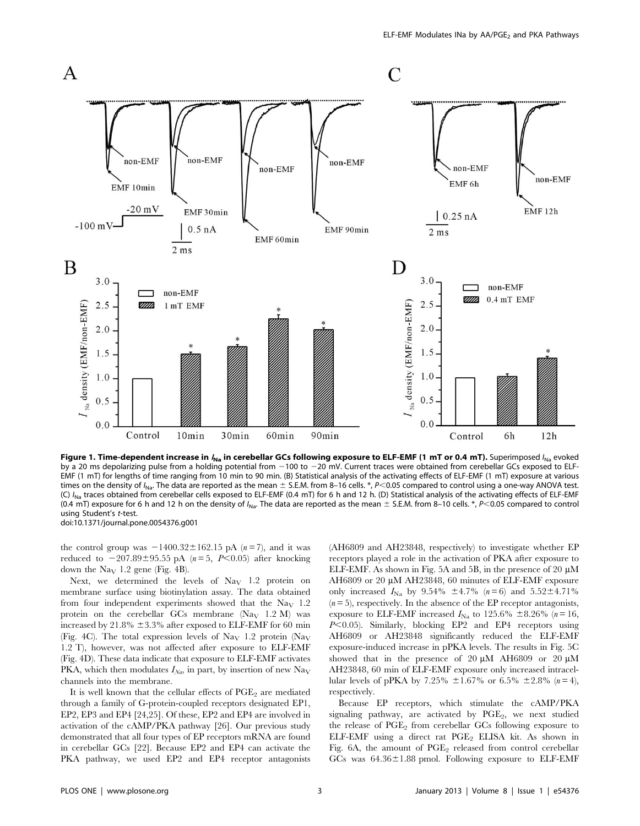

Figure 1. Time-dependent increase in  $I_{Na}$  in cerebellar GCs following exposure to ELF-EMF (1 mT or 0.4 mT). Superimposed  $I_{Na}$  evoked by a 20 ms depolarizing pulse from a holding potential from  $-100$  to  $-20$  mV. Current traces were obtained from cerebellar GCs exposed to ELF-EMF (1 mT) for lengths of time ranging from 10 min to 90 min. (B) Statistical analysis of the activating effects of ELF-EMF (1 mT) exposure at various times on the density of  $I_{\text{Na}}$ . The data are reported as the mean  $\pm$  S.E.M. from 8–16 cells. \*, P<0.05 compared to control using a one-way ANOVA test. (C)  $I_{\text{Na}}$  traces obtained from cerebellar cells exposed to ELF-EMF (0.4 mT) for 6 h and 12 h. (D) Statistical analysis of the activating effects of ELF-EMF (0.4 mT) exposure for 6 h and 12 h on the density of  $I_{\text{Na}}$ . The data are reported as the mean  $\pm$  S.E.M. from 8–10 cells. \*, P<0.05 compared to control using Student's t-test. doi:10.1371/journal.pone.0054376.g001

the control group was  $-1400.32 \pm 162.15$  pA (n = 7), and it was reduced to  $-207.89\pm95.55$  pA ( $n = 5$ , P<0.05) after knocking down the  $\text{Na}_{\text{V}}$  1.2 gene (Fig. 4B).

Next, we determined the levels of  $\text{Na}_{\text{V}}$  1.2 protein on membrane surface using biotinylation assay. The data obtained from four independent experiments showed that the Na<sub>V</sub>  $1.2$ protein on the cerebellar GCs membrane (Na<sub>V</sub> 1.2 M) was increased by 21.8%  $\pm$ 3.3% after exposed to ELF-EMF for 60 min (Fig. 4C). The total expression levels of Na<sub>V</sub> 1.2 protein (Na<sub>V</sub> 1.2 T), however, was not affected after exposure to ELF-EMF (Fig. 4D). These data indicate that exposure to ELF-EMF activates PKA, which then modulates  $I_{Na}$ , in part, by insertion of new Na<sub>V</sub> channels into the membrane.

It is well known that the cellular effects of  $PGE<sub>2</sub>$  are mediated through a family of G-protein-coupled receptors designated EP1, EP2, EP3 and EP4 [24,25]. Of these, EP2 and EP4 are involved in activation of the cAMP/PKA pathway [26]. Our previous study demonstrated that all four types of EP receptors mRNA are found in cerebellar GCs [22]. Because EP2 and EP4 can activate the PKA pathway, we used EP2 and EP4 receptor antagonists (AH6809 and AH23848, respectively) to investigate whether EP receptors played a role in the activation of PKA after exposure to ELF-EMF. As shown in Fig. 5A and 5B, in the presence of 20  $\mu$ M AH6809 or 20 µM AH23848, 60 minutes of ELF-EMF exposure only increased  $I_{\text{Na}}$  by 9.54%  $\pm 4.7$ % (n = 6) and 5.52 $\pm 4.71$ %  $(n=5)$ , respectively. In the absence of the EP receptor antagonists, exposure to ELF-EMF increased  $I_{\text{Na}}$  to 125.6%  $\pm 8.26$ % (n = 16,  $P<0.05$ ). Similarly, blocking EP2 and EP4 receptors using AH6809 or AH23848 significantly reduced the ELF-EMF exposure-induced increase in pPKA levels. The results in Fig. 5C showed that in the presence of 20  $\mu$ M AH6809 or 20  $\mu$ M AH23848, 60 min of ELF-EMF exposure only increased intracellular levels of pPKA by 7.25%  $\pm 1.67\%$  or 6.5%  $\pm 2.8\%$  (n = 4), respectively.

Because EP receptors, which stimulate the cAMP/PKA signaling pathway, are activated by  $PGE_2$ , we next studied the release of PGE<sub>2</sub> from cerebellar GCs following exposure to ELF-EMF using a direct rat  $PGE_2$  ELISA kit. As shown in Fig. 6A, the amount of  $PGE_2$  released from control cerebellar GCs was  $64.36 \pm 1.88$  pmol. Following exposure to ELF-EMF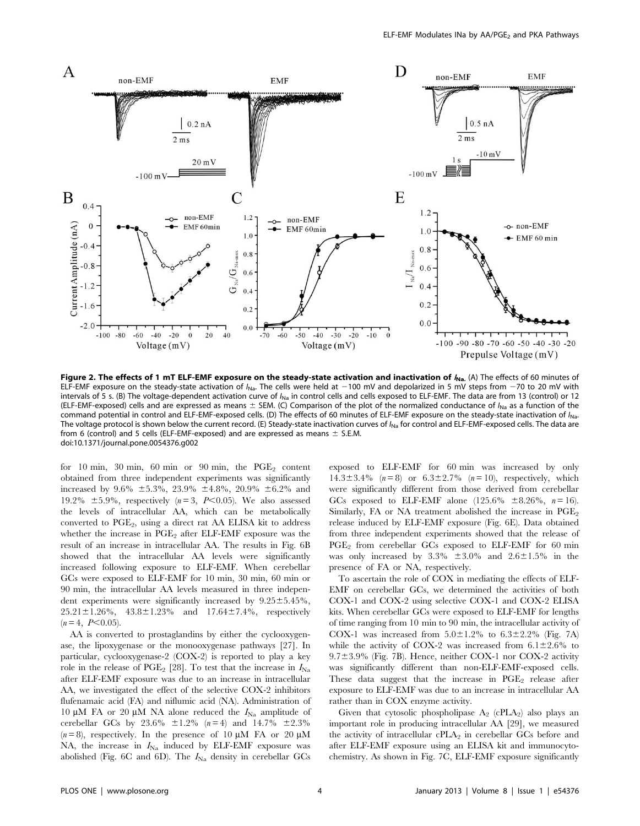

Figure 2. The effects of 1 mT ELF-EMF exposure on the steady-state activation and inactivation of  $f_{\text{Na}}$ . (A) The effects of 60 minutes of ELF-EMF exposure on the steady-state activation of  $I_{\text{Na}}$ . The cells were held at  $-100$  mV and depolarized in 5 mV steps from  $-70$  to 20 mV with intervals of 5 s. (B) The voltage-dependent activation curve of  $I_{\text{Na}}$  in control cells and cells exposed to ELF-EMF. The data are from 13 (control) or 12 (ELF-EMF-exposed) cells and are expressed as means  $\pm$  SEM. (C) Comparison of the plot of the normalized conductance of  $I_{\text{Na}}$  as a function of the command potential in control and ELF-EMF-exposed cells. (D) The effects of 60 minutes of ELF-EMF exposure on the steady-state inactivation of  $I_{\text{Na}}$ . The voltage protocol is shown below the current record. (E) Steady-state inactivation curves of  $I_{\text{Na}}$  for control and ELF-EMF-exposed cells. The data are from 6 (control) and 5 cells (ELF-EMF-exposed) and are expressed as means  $\pm$  S.E.M. doi:10.1371/journal.pone.0054376.g002

for 10 min, 30 min, 60 min or 90 min, the  $PGE_2$  content obtained from three independent experiments was significantly increased by 9.6%  $\pm 5.3\%$ , 23.9%  $\pm 4.8\%$ , 20.9%  $\pm 6.2\%$  and 19.2%  $\pm$ 5.9%, respectively (n=3, P<0.05). We also assessed the levels of intracellular AA, which can be metabolically converted to PGE<sub>2</sub>, using a direct rat AA ELISA kit to address whether the increase in  $PGE_2$  after ELF-EMF exposure was the result of an increase in intracellular AA. The results in Fig. 6B showed that the intracellular AA levels were significantly increased following exposure to ELF-EMF. When cerebellar GCs were exposed to ELF-EMF for 10 min, 30 min, 60 min or 90 min, the intracellular AA levels measured in three independent experiments were significantly increased by  $9.25 \pm 5.45\%$ ,  $25.21 \pm 1.26\%$ ,  $43.8 \pm 1.23\%$  and  $17.64 \pm 7.4\%$ , respectively  $(n = 4, P < 0.05)$ .

AA is converted to prostaglandins by either the cyclooxygenase, the lipoxygenase or the monooxygenase pathways [27]. In particular, cyclooxygenase-2 (COX-2) is reported to play a key role in the release of PGE<sub>2</sub> [28]. To test that the increase in  $I_{\text{Na}}$ after ELF-EMF exposure was due to an increase in intracellular AA, we investigated the effect of the selective COX-2 inhibitors flufenamaic acid (FA) and niflumic acid (NA). Administration of 10  $\mu$ M FA or 20  $\mu$ M NA alone reduced the  $I_{\text{Na}}$  amplitude of cerebellar GCs by 23.6%  $\pm 1.2$ % (n = 4) and 14.7%  $\pm 2.3$ %  $(n=8)$ , respectively. In the presence of 10  $\mu$ M FA or 20  $\mu$ M NA, the increase in  $I_{\text{Na}}$  induced by ELF-EMF exposure was abolished (Fig. 6C and 6D). The  $I_{\text{Na}}$  density in cerebellar GCs exposed to ELF-EMF for 60 min was increased by only  $14.3 \pm 3.4\%$  ( $n = 8$ ) or  $6.3 \pm 2.7\%$  ( $n = 10$ ), respectively, which were significantly different from those derived from cerebellar GCs exposed to ELF-EMF alone (125.6%  $\pm 8.26$ %, n = 16). Similarly, FA or NA treatment abolished the increase in  $PGE_2$ release induced by ELF-EMF exposure (Fig. 6E). Data obtained from three independent experiments showed that the release of  $PGE<sub>2</sub>$  from cerebellar GCs exposed to ELF-EMF for 60 min was only increased by  $3.3\% \pm 3.0\%$  and  $2.6\pm 1.5\%$  in the presence of FA or NA, respectively.

To ascertain the role of COX in mediating the effects of ELF-EMF on cerebellar GCs, we determined the activities of both COX-1 and COX-2 using selective COX-1 and COX-2 ELISA kits. When cerebellar GCs were exposed to ELF-EMF for lengths of time ranging from 10 min to 90 min, the intracellular activity of COX-1 was increased from  $5.0\pm1.2\%$  to  $6.3\pm2.2\%$  (Fig. 7A) while the activity of COX-2 was increased from  $6.1\pm2.6\%$  to  $9.7\pm3.9\%$  (Fig. 7B). Hence, neither COX-1 nor COX-2 activity was significantly different than non-ELF-EMF-exposed cells. These data suggest that the increase in  $PGE<sub>2</sub>$  release after exposure to ELF-EMF was due to an increase in intracellular AA rather than in COX enzyme activity.

Given that cytosolic phospholipase  $A_2$  (cPLA<sub>2</sub>) also plays an important role in producing intracellular AA [29], we measured the activity of intracellular  $cPLA_2$  in cerebellar GCs before and after ELF-EMF exposure using an ELISA kit and immunocytochemistry. As shown in Fig. 7C, ELF-EMF exposure significantly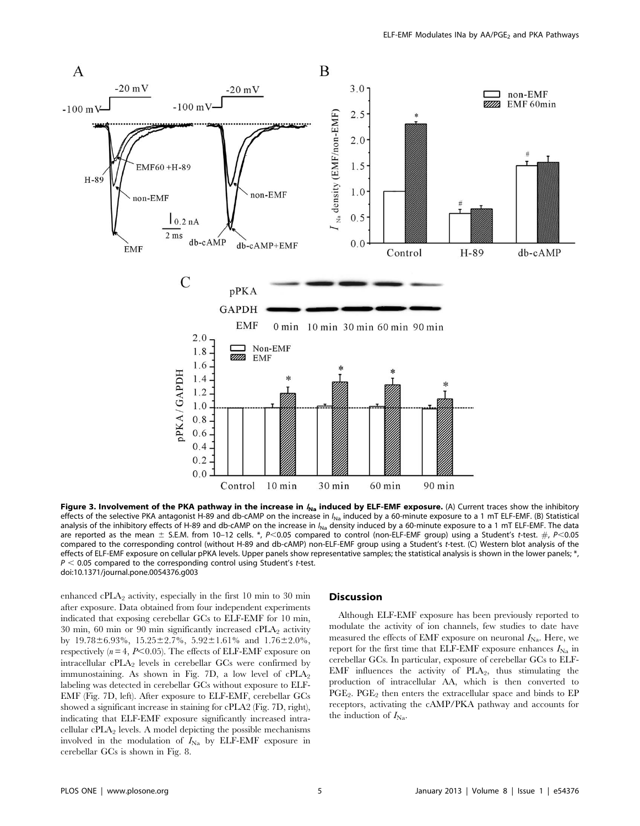

Figure 3. Involvement of the PKA pathway in the increase in  $I_{\text{Na}}$  induced by ELF-EMF exposure. (A) Current traces show the inhibitory effects of the selective PKA antagonist H-89 and db-cAMP on the increase in  $I_{\text{Na}}$  induced by a 60-minute exposure to a 1 mT ELF-EMF. (B) Statistical analysis of the inhibitory effects of H-89 and db-cAMP on the increase in  $I_{NA}$  density induced by a 60-minute exposure to a 1 mT ELF-EMF. The data are reported as the mean  $\pm$  S.E.M. from 10–12 cells. \*, P<0.05 compared to control (non-ELF-EMF group) using a Student's t-test.  $\#$ , P<0.05 compared to the corresponding control (without H-89 and db-cAMP) non-ELF-EMF group using a Student's t-test. (C) Western blot analysis of the effects of ELF-EMF exposure on cellular pPKA levels. Upper panels show representative samples; the statistical analysis is shown in the lower panels; \*,  $P < 0.05$  compared to the corresponding control using Student's t-test. doi:10.1371/journal.pone.0054376.g003

enhanced cPLA<sub>2</sub> activity, especially in the first 10 min to 30 min after exposure. Data obtained from four independent experiments indicated that exposing cerebellar GCs to ELF-EMF for 10 min, 30 min, 60 min or 90 min significantly increased  $\text{cPLA}_2$  activity by  $19.78 \pm 6.93\%$ ,  $15.25 \pm 2.7\%$ ,  $5.92 \pm 1.61\%$  and  $1.76 \pm 2.0\%$ , respectively ( $n = 4$ ,  $P \le 0.05$ ). The effects of ELF-EMF exposure on intracellular  $cPLA_2$  levels in cerebellar GCs were confirmed by immunostaining. As shown in Fig. 7D, a low level of  $cPLA_2$ labeling was detected in cerebellar GCs without exposure to ELF-EMF (Fig. 7D, left). After exposure to ELF-EMF, cerebellar GCs showed a significant increase in staining for cPLA2 (Fig. 7D, right), indicating that ELF-EMF exposure significantly increased intracellular  $cPLA_2$  levels. A model depicting the possible mechanisms involved in the modulation of  $I_{\text{Na}}$  by ELF-EMF exposure in cerebellar GCs is shown in Fig. 8.

## **Discussion**

Although ELF-EMF exposure has been previously reported to modulate the activity of ion channels, few studies to date have measured the effects of EMF exposure on neuronal  $I_{\text{Na}}$ . Here, we report for the first time that ELF-EMF exposure enhances  $I_{\text{Na}}$  in cerebellar GCs. In particular, exposure of cerebellar GCs to ELF-EMF influences the activity of  $PLA_2$ , thus stimulating the production of intracellular AA, which is then converted to  $PGE_2$ .  $PGE_2$  then enters the extracellular space and binds to EP receptors, activating the cAMP/PKA pathway and accounts for the induction of  $I_{\text{Na}}$ .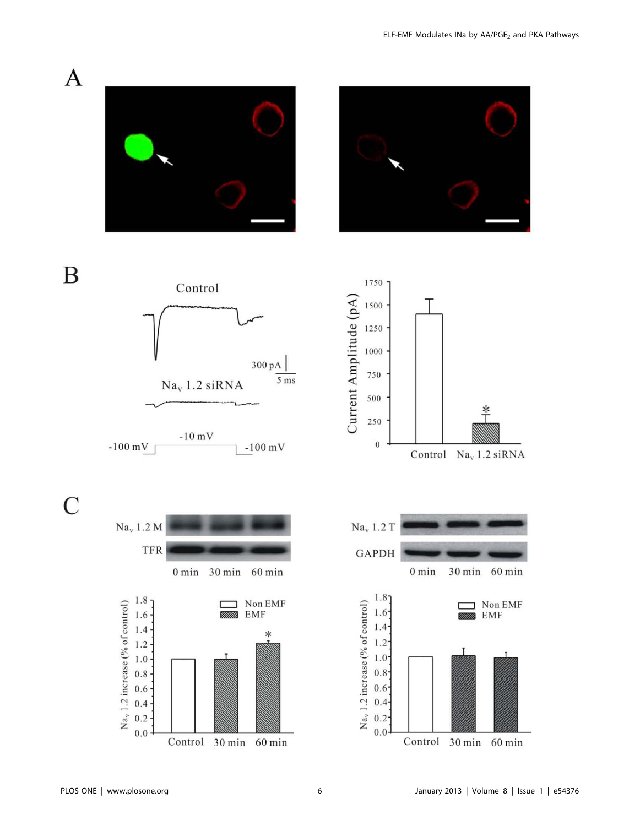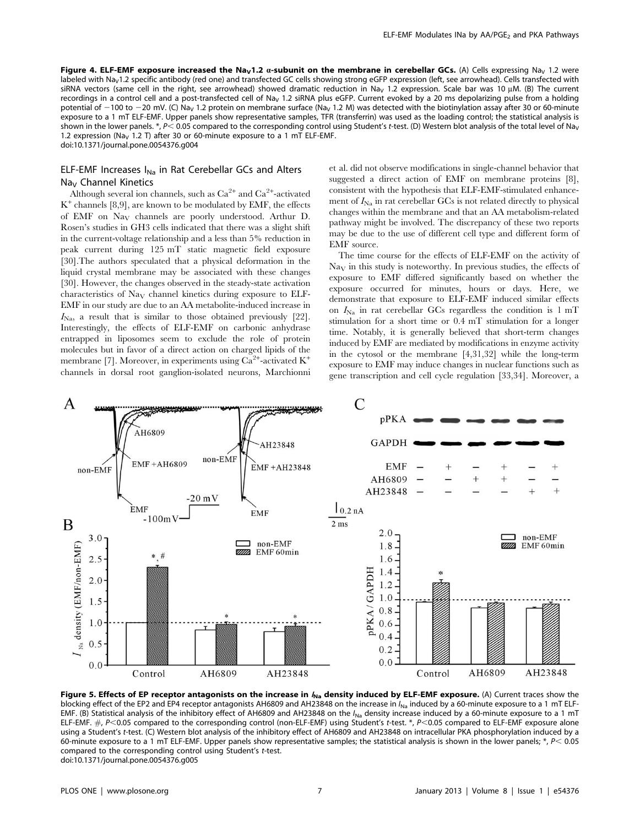Figure 4. ELF-EMF exposure increased the Na<sub>V</sub>1.2  $\alpha$ -subunit on the membrane in cerebellar GCs. (A) Cells expressing Na<sub>V</sub> 1.2 were labeled with Na<sub>V</sub>1.2 specific antibody (red one) and transfected GC cells showing strong eGFP expression (left, see arrowhead). Cells transfected with siRNA vectors (same cell in the right, see arrowhead) showed dramatic reduction in Na<sub>V</sub> 1.2 expression. Scale bar was 10  $\mu$ M. (B) The current recordings in a control cell and a post-transfected cell of Na<sub>v</sub> 1.2 siRNA plus eGFP. Current evoked by a 20 ms depolarizing pulse from a holding potential of  $-100$  to  $-20$  mV. (C) Na<sub>V</sub> 1.2 protein on membrane surface (Na<sub>V</sub> 1.2 M) was detected with the biotinylation assay after 30 or 60-minute exposure to a 1 mT ELF-EMF. Upper panels show representative samples, TFR (transferrin) was used as the loading control; the statistical analysis is shown in the lower panels. \*, P< 0.05 compared to the corresponding control using Student's t-test. (D) Western blot analysis of the total level of Na<sub>V</sub> 1.2 expression (Na<sub>v</sub> 1.2 T) after 30 or 60-minute exposure to a 1 mT ELF-EMF. doi:10.1371/journal.pone.0054376.g004

# ELF-EMF Increases  $I_{Na}$  in Rat Cerebellar GCs and Alters Na<sub>v</sub> Channel Kinetics

Although several ion channels, such as  $\mathrm{Ca}^{2+}$  and  $\mathrm{Ca}^{2+}$ -activated  $K^+$  channels [8,9], are known to be modulated by EMF, the effects of EMF on NaV channels are poorly understood. Arthur D. Rosen's studies in GH3 cells indicated that there was a slight shift in the current-voltage relationship and a less than 5% reduction in peak current during 125 mT static magnetic field exposure [30].The authors speculated that a physical deformation in the liquid crystal membrane may be associated with these changes [30]. However, the changes observed in the steady-state activation characteristics of NaV channel kinetics during exposure to ELF-EMF in our study are due to an AA metabolite-induced increase in  $I_{N_a}$ , a result that is similar to those obtained previously [22]. Interestingly, the effects of ELF-EMF on carbonic anhydrase entrapped in liposomes seem to exclude the role of protein molecules but in favor of a direct action on charged lipids of the membrane [7]. Moreover, in experiments using  $\text{Ca}^{2+}$ -activated  $\text{K}^{+}$ channels in dorsal root ganglion-isolated neurons, Marchionni et al. did not observe modifications in single-channel behavior that suggested a direct action of EMF on membrane proteins [8], consistent with the hypothesis that ELF-EMF-stimulated enhancement of  $I_{\text{Na}}$  in rat cerebellar GCs is not related directly to physical changes within the membrane and that an AA metabolism-related pathway might be involved. The discrepancy of these two reports may be due to the use of different cell type and different form of EMF source.

The time course for the effects of ELF-EMF on the activity of  $\text{Na}_{\text{V}}$  in this study is noteworthy. In previous studies, the effects of exposure to EMF differed significantly based on whether the exposure occurred for minutes, hours or days. Here, we demonstrate that exposure to ELF-EMF induced similar effects on  $I_{\text{Na}}$  in rat cerebellar GCs regardless the condition is 1 mT stimulation for a short time or 0.4 mT stimulation for a longer time. Notably, it is generally believed that short-term changes induced by EMF are mediated by modifications in enzyme activity in the cytosol or the membrane [4,31,32] while the long-term exposure to EMF may induce changes in nuclear functions such as gene transcription and cell cycle regulation [33,34]. Moreover, a



Figure 5. Effects of EP receptor antagonists on the increase in  $I_{Na}$  density induced by ELF-EMF exposure. (A) Current traces show the blocking effect of the EP2 and EP4 receptor antagonists AH6809 and AH23848 on the increase in I<sub>Na</sub> induced by a 60-minute exposure to a 1 mT ELF-EMF. (B) Statistical analysis of the inhibitory effect of AH6809 and AH23848 on the  $I_{\text{Na}}$  density increase induced by a 60-minute exposure to a 1 mT ELF-EMF.  $\#$ , P<0.05 compared to the corresponding control (non-ELF-EMF) using Student's t-test. \*, P<0.05 compared to ELF-EMF exposure alone using a Student's t-test. (C) Western blot analysis of the inhibitory effect of AH6809 and AH23848 on intracellular PKA phosphorylation induced by a 60-minute exposure to a 1 mT ELF-EMF. Upper panels show representative samples; the statistical analysis is shown in the lower panels; \*,  $P < 0.05$ compared to the corresponding control using Student's t-test. doi:10.1371/journal.pone.0054376.g005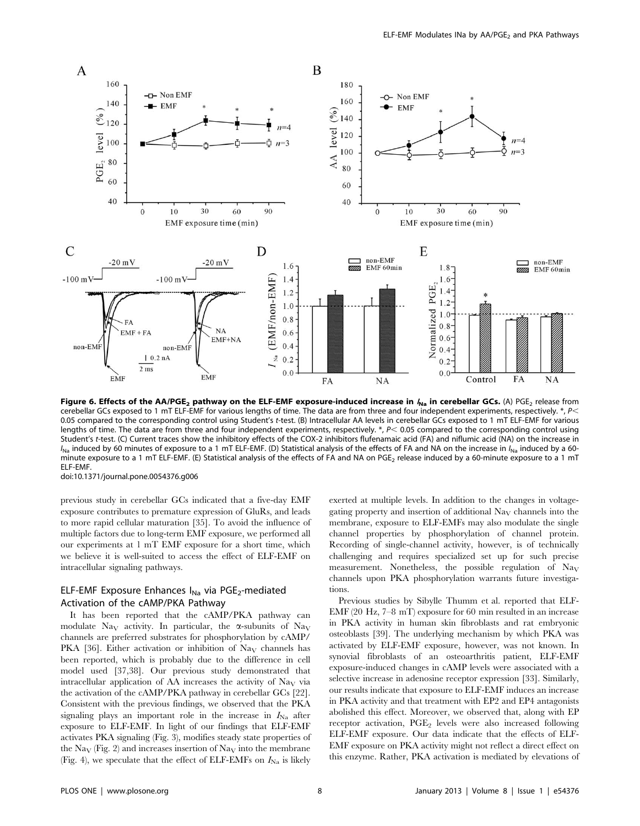

Figure 6. Effects of the AA/PGE<sub>2</sub> pathway on the ELF-EMF exposure-induced increase in  $f_{Na}$  in cerebellar GCs. (A) PGE<sub>2</sub> release from cerebellar GCs exposed to 1 mT ELF-EMF for various lengths of time. The data are from three and four independent experiments, respectively. \*,  $P$ 0.05 compared to the corresponding control using Student's t-test. (B) Intracellular AA levels in cerebellar GCs exposed to 1 mT ELF-EMF for various lengths of time. The data are from three and four independent experiments, respectively.  $*$ ,  $P$ < 0.05 compared to the corresponding control using Student's t-test. (C) Current traces show the inhibitory effects of the COX-2 inhibitors flufenamaic acid (FA) and niflumic acid (NA) on the increase in  $I_{\text{Na}}$  induced by 60 minutes of exposure to a 1 mT ELF-EMF. (D) Statistical analysis of the effects of FA and NA on the increase in  $I_{\text{Na}}$  induced by a 60minute exposure to a 1 mT ELF-EMF. (E) Statistical analysis of the effects of FA and NA on PGE<sub>2</sub> release induced by a 60-minute exposure to a 1 mT ELF-EMF.

doi:10.1371/journal.pone.0054376.g006

previous study in cerebellar GCs indicated that a five-day EMF exposure contributes to premature expression of GluRs, and leads to more rapid cellular maturation [35]. To avoid the influence of multiple factors due to long-term EMF exposure, we performed all our experiments at 1 mT EMF exposure for a short time, which we believe it is well-suited to access the effect of ELF-EMF on intracellular signaling pathways.

# ELF-EMF Exposure Enhances  $I_{Na}$  via PGE<sub>2</sub>-mediated Activation of the cAMP/PKA Pathway

It has been reported that the cAMP/PKA pathway can modulate Na<sub>V</sub> activity. In particular, the  $\alpha$ -subunits of Na<sub>V</sub> channels are preferred substrates for phosphorylation by cAMP/ PKA [36]. Either activation or inhibition of  $\text{Na}_{\text{V}}$  channels has been reported, which is probably due to the difference in cell model used [37,38]. Our previous study demonstrated that intracellular application of AA increases the activity of  $\text{Na}_{\text{V}}$  via the activation of the cAMP/PKA pathway in cerebellar GCs [22]. Consistent with the previous findings, we observed that the PKA signaling plays an important role in the increase in  $I_{\text{Na}}$  after exposure to ELF-EMF. In light of our findings that ELF-EMF activates PKA signaling (Fig. 3), modifies steady state properties of the Na<sub>V</sub> (Fig. 2) and increases insertion of Na<sub>V</sub> into the membrane (Fig. 4), we speculate that the effect of ELF-EMFs on  $I_{\text{Na}}$  is likely

exerted at multiple levels. In addition to the changes in voltagegating property and insertion of additional  $\text{Na}_{\text{V}}$  channels into the membrane, exposure to ELF-EMFs may also modulate the single channel properties by phosphorylation of channel protein. Recording of single-channel activity, however, is of technically challenging and requires specialized set up for such precise measurement. Nonetheless, the possible regulation of  $\text{Na}_{\text{V}}$ channels upon PKA phosphorylation warrants future investigations.

Previous studies by Sibylle Thumm et al. reported that ELF-EMF (20 Hz, 7–8 mT) exposure for 60 min resulted in an increase in PKA activity in human skin fibroblasts and rat embryonic osteoblasts [39]. The underlying mechanism by which PKA was activated by ELF-EMF exposure, however, was not known. In synovial fibroblasts of an osteoarthritis patient, ELF-EMF exposure-induced changes in cAMP levels were associated with a selective increase in adenosine receptor expression [33]. Similarly, our results indicate that exposure to ELF-EMF induces an increase in PKA activity and that treatment with EP2 and EP4 antagonists abolished this effect. Moreover, we observed that, along with EP receptor activation,  $PGE_2$  levels were also increased following ELF-EMF exposure. Our data indicate that the effects of ELF-EMF exposure on PKA activity might not reflect a direct effect on this enzyme. Rather, PKA activation is mediated by elevations of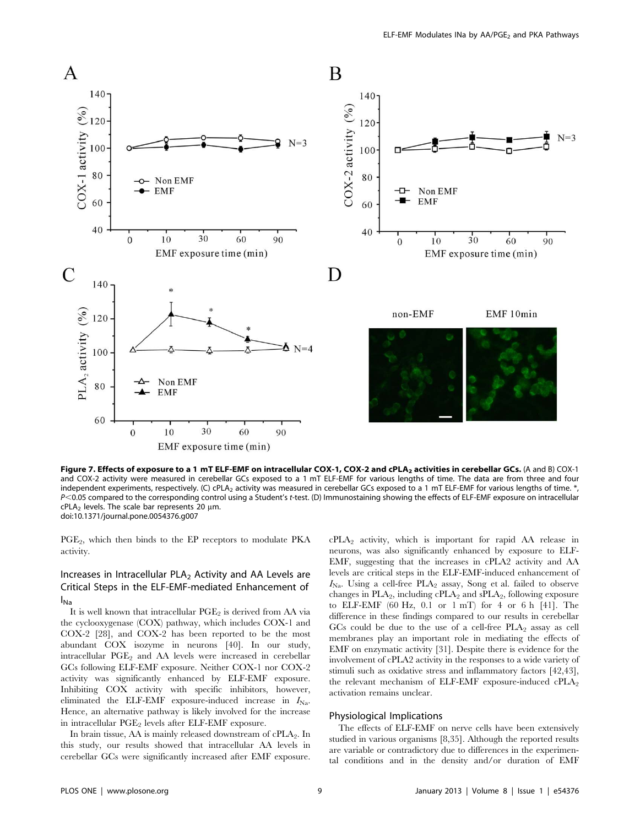

Figure 7. Effects of exposure to a 1 mT ELF-EMF on intracellular COX-1, COX-2 and cPLA<sub>2</sub> activities in cerebellar GCs. (A and B) COX-1 and COX-2 activity were measured in cerebellar GCs exposed to a 1 mT ELF-EMF for various lengths of time. The data are from three and four independent experiments, respectively. (C) cPLA<sub>2</sub> activity was measured in cerebellar GCs exposed to a 1 mT ELF-EMF for various lengths of time. \*, P<0.05 compared to the corresponding control using a Student's t-test. (D) Immunostaining showing the effects of ELF-EMF exposure on intracellular  $cPLA<sub>2</sub>$  levels. The scale bar represents 20  $µm$ . doi:10.1371/journal.pone.0054376.g007

PGE<sub>2</sub>, which then binds to the EP receptors to modulate PKA activity.

# Increases in Intracellular  $PLA<sub>2</sub>$  Activity and AA Levels are Critical Steps in the ELF-EMF-mediated Enhancement of INa

It is well known that intracellular PGE<sub>2</sub> is derived from AA via the cyclooxygenase (COX) pathway, which includes COX-1 and COX-2 [28], and COX-2 has been reported to be the most abundant COX isozyme in neurons [40]. In our study, intracellular  $PGE_2$  and AA levels were increased in cerebellar GCs following ELF-EMF exposure. Neither COX-1 nor COX-2 activity was significantly enhanced by ELF-EMF exposure. Inhibiting COX activity with specific inhibitors, however, eliminated the ELF-EMF exposure-induced increase in  $I_{\text{Na}}$ . Hence, an alternative pathway is likely involved for the increase in intracellular  $PGE_2$  levels after ELF-EMF exposure.

In brain tissue,  $AA$  is mainly released downstream of  $cPLA_2$ . In this study, our results showed that intracellular AA levels in cerebellar GCs were significantly increased after EMF exposure. cPLA2 activity, which is important for rapid AA release in neurons, was also significantly enhanced by exposure to ELF-EMF, suggesting that the increases in cPLA2 activity and AA levels are critical steps in the ELF-EMF-induced enhancement of  $I_{N_a}$ . Using a cell-free PLA<sub>2</sub> assay, Song et al. failed to observe changes in  $PLA_2$ , including cPLA<sub>2</sub> and  $sPLA_2$ , following exposure to ELF-EMF (60 Hz, 0.1 or 1 mT) for 4 or 6 h [41]. The difference in these findings compared to our results in cerebellar GCs could be due to the use of a cell-free  $PLA_2$  assay as cell membranes play an important role in mediating the effects of EMF on enzymatic activity [31]. Despite there is evidence for the involvement of cPLA2 activity in the responses to a wide variety of stimuli such as oxidative stress and inflammatory factors [42,43], the relevant mechanism of ELF-EMF exposure-induced  $\text{cPLA}_2$ activation remains unclear.

# Physiological Implications

The effects of ELF-EMF on nerve cells have been extensively studied in various organisms [8,35]. Although the reported results are variable or contradictory due to differences in the experimental conditions and in the density and/or duration of EMF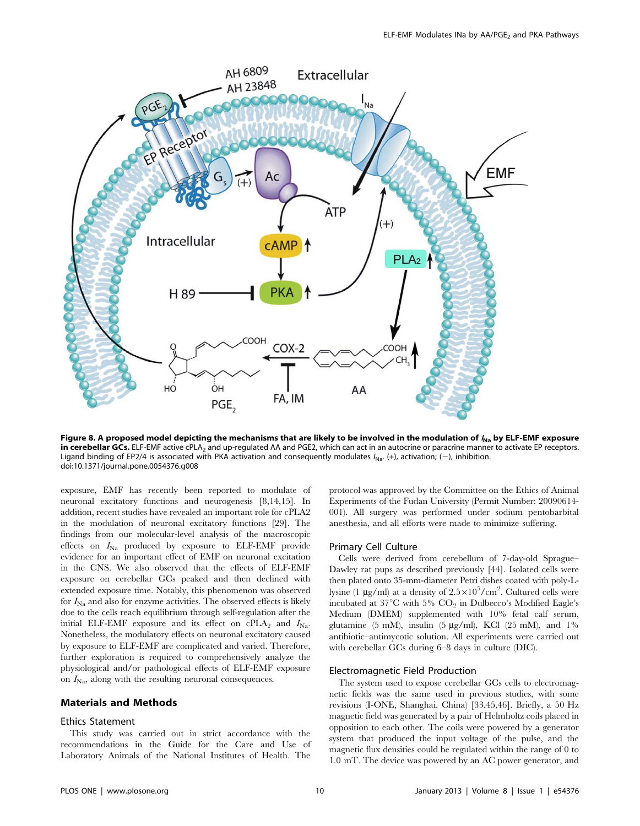

Figure 8. A proposed model depicting the mechanisms that are likely to be involved in the modulation of  $I_{Na}$  by ELF-EMF exposure in cerebellar GCs. ELF-EMF active cPLA<sub>2</sub> and up-regulated AA and PGE2, which can act in an autocrine or paracrine manner to activate EP receptors. Ligand binding of EP2/4 is associated with PKA activation and consequently modulates  $I_{\text{Na}}$ . (+), activation; (-), inhibition. doi:10.1371/journal.pone.0054376.g008

exposure, EMF has recently been reported to modulate of neuronal excitatory functions and neurogenesis [8,14,15]. In addition, recent studies have revealed an important role for cPLA2 in the modulation of neuronal excitatory functions [29]. The findings from our molecular-level analysis of the macroscopic effects on  $I_{\text{Na}}$  produced by exposure to ELF-EMF provide evidence for an important effect of EMF on neuronal excitation in the CNS. We also observed that the effects of ELF-EMF exposure on cerebellar GCs peaked and then declined with extended exposure time. Notably, this phenomenon was observed for  $I_{\text{Na}}$  and also for enzyme activities. The observed effects is likely due to the cells reach equilibrium through self-regulation after the initial ELF-EMF exposure and its effect on cPLA<sub>2</sub> and  $I_{\text{Na}}$ . Nonetheless, the modulatory effects on neuronal excitatory caused by exposure to ELF-EMF are complicated and varied. Therefore, further exploration is required to comprehensively analyze the physiological and/or pathological effects of ELF-EMF exposure on  $I_{\text{Na}}$ , along with the resulting neuronal consequences.

# Materials and Methods

# Ethics Statement

This study was carried out in strict accordance with the recommendations in the Guide for the Care and Use of Laboratory Animals of the National Institutes of Health. The

protocol was approved by the Committee on the Ethics of Animal Experiments of the Fudan University (Permit Number: 20090614- 001). All surgery was performed under sodium pentobarbital anesthesia, and all efforts were made to minimize suffering.

#### Primary Cell Culture

Cells were derived from cerebellum of 7-day-old Sprague– Dawley rat pups as described previously [44]. Isolated cells were then plated onto 35-mm-diameter Petri dishes coated with poly-Llysine (1 µg/ml) at a density of  $2.5 \times 10^5/\text{cm}^2$ . Cultured cells were incubated at  $37^{\circ}$ C with 5%  $CO_2$  in Dulbecco's Modified Eagle's Medium (DMEM) supplemented with 10% fetal calf serum, glutamine (5 mM), insulin (5  $\mu$ g/ml), KCl (25 mM), and 1% antibiotic–antimycotic solution. All experiments were carried out with cerebellar GCs during 6–8 days in culture (DIC).

# Electromagnetic Field Production

The system used to expose cerebellar GCs cells to electromagnetic fields was the same used in previous studies, with some revisions (I-ONE, Shanghai, China) [33,45,46]. Briefly, a 50 Hz magnetic field was generated by a pair of Helmholtz coils placed in opposition to each other. The coils were powered by a generator system that produced the input voltage of the pulse, and the magnetic flux densities could be regulated within the range of 0 to 1.0 mT. The device was powered by an AC power generator, and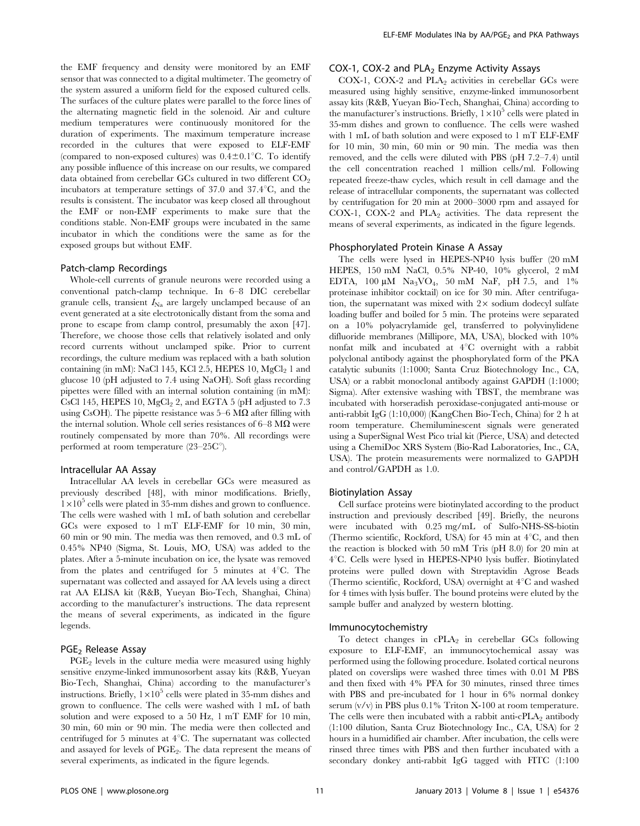the EMF frequency and density were monitored by an EMF sensor that was connected to a digital multimeter. The geometry of the system assured a uniform field for the exposed cultured cells. The surfaces of the culture plates were parallel to the force lines of the alternating magnetic field in the solenoid. Air and culture medium temperatures were continuously monitored for the duration of experiments. The maximum temperature increase recorded in the cultures that were exposed to ELF-EMF (compared to non-exposed cultures) was  $0.4\pm0.1^{\circ}$ C. To identify any possible influence of this increase on our results, we compared data obtained from cerebellar GCs cultured in two different  $CO<sub>2</sub>$ incubators at temperature settings of  $37.0$  and  $37.4^{\circ}$ C, and the results is consistent. The incubator was keep closed all throughout the EMF or non-EMF experiments to make sure that the conditions stable. Non-EMF groups were incubated in the same incubator in which the conditions were the same as for the exposed groups but without EMF.

#### Patch-clamp Recordings

Whole-cell currents of granule neurons were recorded using a conventional patch-clamp technique. In 6–8 DIC cerebellar granule cells, transient  $I_{\text{Na}}$  are largely unclamped because of an event generated at a site electrotonically distant from the soma and prone to escape from clamp control, presumably the axon [47]. Therefore, we choose those cells that relatively isolated and only record currents without unclamped spike. Prior to current recordings, the culture medium was replaced with a bath solution containing (in mM): NaCl 145, KCl 2.5, HEPES 10, MgCl<sub>2</sub> 1 and glucose 10 (pH adjusted to 7.4 using NaOH). Soft glass recording pipettes were filled with an internal solution containing (in mM): CsCl 145, HEPES 10,  $MgCl<sub>2</sub>$  2, and EGTA 5 (pH adjusted to 7.3) using CsOH). The pipette resistance was  $5-6 \text{ M}\Omega$  after filling with the internal solution. Whole cell series resistances of  $6-8$  M $\Omega$  were routinely compensated by more than 70%. All recordings were performed at room temperature  $(23-25C^{\circ})$ .

#### Intracellular AA Assay

Intracellular AA levels in cerebellar GCs were measured as previously described [48], with minor modifications. Briefly,  $1\times10^5$  cells were plated in 35-mm dishes and grown to confluence. The cells were washed with 1 mL of bath solution and cerebellar GCs were exposed to 1 mT ELF-EMF for 10 min, 30 min, 60 min or 90 min. The media was then removed, and 0.3 mL of 0.45% NP40 (Sigma, St. Louis, MO, USA) was added to the plates. After a 5-minute incubation on ice, the lysate was removed from the plates and centrifuged for 5 minutes at  $4^{\circ}$ C. The supernatant was collected and assayed for AA levels using a direct rat AA ELISA kit (R&B, Yueyan Bio-Tech, Shanghai, China) according to the manufacturer's instructions. The data represent the means of several experiments, as indicated in the figure legends.

## PGE<sub>2</sub> Release Assay

 $PGE<sub>2</sub>$  levels in the culture media were measured using highly sensitive enzyme-linked immunosorbent assay kits (R&B, Yueyan Bio-Tech, Shanghai, China) according to the manufacturer's instructions. Briefly,  $1\times10^5$  cells were plated in 35-mm dishes and grown to confluence. The cells were washed with 1 mL of bath solution and were exposed to a 50 Hz, 1 mT EMF for 10 min, 30 min, 60 min or 90 min. The media were then collected and centrifuged for 5 minutes at  $4^{\circ}$ C. The supernatant was collected and assayed for levels of PGE<sub>2</sub>. The data represent the means of several experiments, as indicated in the figure legends.

## COX-1, COX-2 and  $PLA_2$  Enzyme Activity Assays

COX-1, COX-2 and PLA<sub>2</sub> activities in cerebellar GCs were measured using highly sensitive, enzyme-linked immunosorbent assay kits (R&B, Yueyan Bio-Tech, Shanghai, China) according to the manufacturer's instructions. Briefly,  $1 \times 10^5$  cells were plated in 35-mm dishes and grown to confluence. The cells were washed with 1 mL of bath solution and were exposed to 1 mT ELF-EMF for 10 min, 30 min, 60 min or 90 min. The media was then removed, and the cells were diluted with PBS (pH 7.2–7.4) until the cell concentration reached 1 million cells/ml. Following repeated freeze-thaw cycles, which result in cell damage and the release of intracellular components, the supernatant was collected by centrifugation for 20 min at 2000–3000 rpm and assayed for COX-1, COX-2 and  $PLA_2$  activities. The data represent the means of several experiments, as indicated in the figure legends.

#### Phosphorylated Protein Kinase A Assay

The cells were lysed in HEPES-NP40 lysis buffer (20 mM HEPES, 150 mM NaCl, 0.5% NP-40, 10% glycerol, 2 mM EDTA,  $100 \mu M$  Na<sub>3</sub>VO<sub>4</sub>, 50 mM NaF, pH 7.5, and 1% proteinase inhibitor cocktail) on ice for 30 min. After centrifugation, the supernatant was mixed with  $2 \times$  sodium dodecyl sulfate loading buffer and boiled for 5 min. The proteins were separated on a 10% polyacrylamide gel, transferred to polyvinylidene difluoride membranes (Millipore, MA, USA), blocked with 10% nonfat milk and incubated at  $4^{\circ}C$  overnight with a rabbit polyclonal antibody against the phosphorylated form of the PKA catalytic subunits (1:1000; Santa Cruz Biotechnology Inc., CA, USA) or a rabbit monoclonal antibody against GAPDH (1:1000; Sigma). After extensive washing with TBST, the membrane was incubated with horseradish peroxidase-conjugated anti-mouse or anti-rabbit IgG (1:10,000) (KangChen Bio-Tech, China) for 2 h at room temperature. Chemiluminescent signals were generated using a SuperSignal West Pico trial kit (Pierce, USA) and detected using a ChemiDoc XRS System (Bio-Rad Laboratories, Inc., CA, USA). The protein measurements were normalized to GAPDH and control/GAPDH as 1.0.

## Biotinylation Assay

Cell surface proteins were biotinylated according to the product instruction and previously described [49]. Briefly, the neurons were incubated with 0.25 mg/mL of Sulfo-NHS-SS-biotin (Thermo scientific, Rockford, USA) for 45 min at  $4^{\circ}$ C, and then the reaction is blocked with 50 mM Tris (pH 8.0) for 20 min at 4°C. Cells were lysed in HEPES-NP40 lysis buffer. Biotinylated proteins were pulled down with Streptavidin Agrose Beads (Thermo scientific, Rockford, USA) overnight at  $4^{\circ}$ C and washed for 4 times with lysis buffer. The bound proteins were eluted by the sample buffer and analyzed by western blotting.

#### Immunocytochemistry

To detect changes in  $cPLA_2$  in cerebellar GCs following exposure to ELF-EMF, an immunocytochemical assay was performed using the following procedure. Isolated cortical neurons plated on coverslips were washed three times with 0.01 M PBS and then fixed with 4% PFA for 30 minutes, rinsed three times with PBS and pre-incubated for 1 hour in 6% normal donkey serum (v/v) in PBS plus 0.1% Triton X-100 at room temperature. The cells were then incubated with a rabbit anti-c $PLA_2$  antibody (1:100 dilution, Santa Cruz Biotechnology Inc., CA, USA) for 2 hours in a humidified air chamber. After incubation, the cells were rinsed three times with PBS and then further incubated with a secondary donkey anti-rabbit IgG tagged with FITC (1:100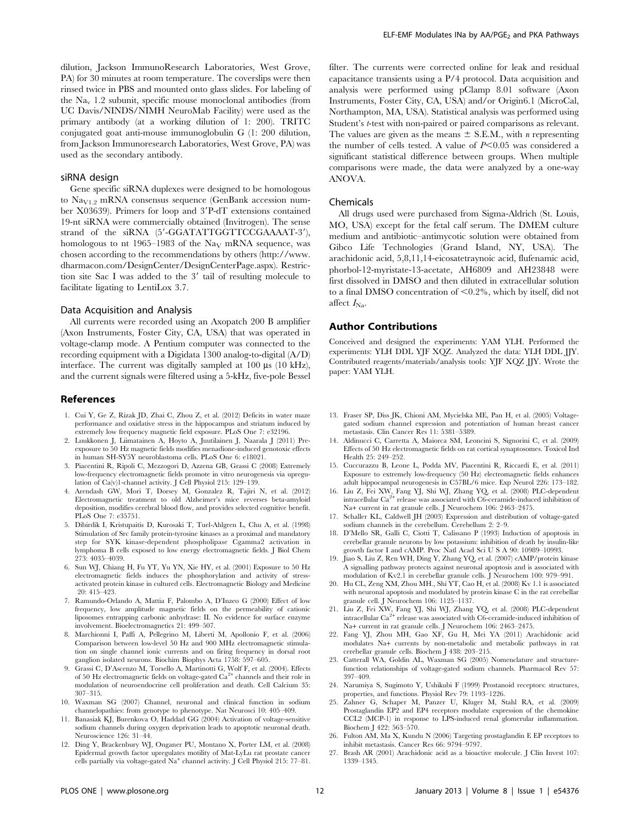dilution, Jackson ImmunoResearch Laboratories, West Grove, PA) for 30 minutes at room temperature. The coverslips were then rinsed twice in PBS and mounted onto glass slides. For labeling of the  $\text{Na}_{\text{v}}$  1.2 subunit, specific mouse monoclonal antibodies (from UC Davis/NINDS/NIMH NeuroMab Facility) were used as the primary antibody (at a working dilution of 1: 200). TRITC conjugated goat anti-mouse immunoglobulin G (1: 200 dilution, from Jackson Immunoresearch Laboratories, West Grove, PA) was used as the secondary antibody.

#### siRNA design

Gene specific siRNA duplexes were designed to be homologous to  $\text{Na}_{\text{V1.2}}$  mRNA consensus sequence (GenBank accession number X03639). Primers for loop and  $3'$ P-dT extensions contained 19-nt siRNA were commercially obtained (Invitrogen). The sense strand of the siRNA (5'-GGATATTGGTTCCGAAAAT-3'), homologous to nt 1965–1983 of the Na<sub>V</sub> mRNA sequence, was chosen according to the recommendations by others (http://www. dharmacon.com/DesignCenter/DesignCenterPage.aspx). Restriction site Sac I was added to the  $3'$  tail of resulting molecule to facilitate ligating to LentiLox 3.7.

#### Data Acquisition and Analysis

All currents were recorded using an Axopatch 200 B amplifier (Axon Instruments, Foster City, CA, USA) that was operated in voltage-clamp mode. A Pentium computer was connected to the recording equipment with a Digidata 1300 analog-to-digital (A/D) interface. The current was digitally sampled at  $100 \mu s$  (10 kHz), and the current signals were filtered using a 5-kHz, five-pole Bessel

#### References

- 1. Cui Y, Ge Z, Rizak JD, Zhai C, Zhou Z, et al. (2012) Deficits in water maze performance and oxidative stress in the hippocampus and striatum induced by extremely low frequency magnetic field exposure. PLoS One 7: e32196.
- 2. Luukkonen J, Liimatainen A, Hoyto A, Juutilainen J, Naarala J (2011) Preexposure to 50 Hz magnetic fields modifies menadione-induced genotoxic effects in human SH-SY5Y neuroblastoma cells. PLoS One 6: e18021.
- 3. Piacentini R, Ripoli C, Mezzogori D, Azzena GB, Grassi C (2008) Extremely low-frequency electromagnetic fields promote in vitro neurogenesis via upregulation of Ca(v)1-channel activity. J Cell Physiol 215: 129–139.
- 4. Arendash GW, Mori T, Dorsey M, Gonzalez R, Tajiri N, et al. (2012) Electromagnetic treatment to old Alzheimer's mice reverses beta-amyloid deposition, modifies cerebral blood flow, and provides selected cognitive benefit. PLoS One 7: e35751.
- 5. Dibirdik I, Kristupaitis D, Kurosaki T, Tuel-Ahlgren L, Chu A, et al. (1998) Stimulation of Src family protein-tyrosine kinases as a proximal and mandatory step for SYK kinase-dependent phospholipase Cgamma2 activation in lymphoma B cells exposed to low energy electromagnetic fields. J Biol Chem 273: 4035–4039.
- 6. Sun WJ, Chiang H, Fu YT, Yu YN, Xie HY, et al. (2001) Exposure to 50 Hz electromagnetic fields induces the phosphorylation and activity of stressactivated protein kinase in cultured cells. Electromagnetic Biology and Medicine 20: 415–423.
- 7. Ramundo-Orlando A, Mattia F, Palombo A, D'Inzeo G (2000) Effect of low frequency, low amplitude magnetic fields on the permeability of cationic liposomes entrapping carbonic anhydrase: II. No evidence for surface enzyme involvement. Bioelectromagnetics 21: 499–507.
- 8. Marchionni I, Paffi A, Pellegrino M, Liberti M, Apollonio F, et al. (2006) Comparison between low-level 50 Hz and 900 MHz electromagnetic stimulation on single channel ionic currents and on firing frequency in dorsal root ganglion isolated neurons. Biochim Biophys Acta 1758: 597–605.
- 9. Grassi C, D'Ascenzo M, Torsello A, Martinotti G, Wolf F, et al. (2004). Effects of 50 Hz electromagnetic fields on voltage-gated Ca<sup>2+</sup> channels and their role in modulation of neuroendocrine cell proliferation and death. Cell Calcium 35: 307–315.
- 10. Waxman SG (2007) Channel, neuronal and clinical function in sodium channelopathies: from genotype to phenotype. Nat Neurosci 10: 405–409.
- 11. Banasiak KJ, Burenkova O, Haddad GG (2004) Activation of voltage-sensitive sodium channels during oxygen deprivation leads to apoptotic neuronal death. Neuroscience 126: 31–44.

filter. The currents were corrected online for leak and residual capacitance transients using a P/4 protocol. Data acquisition and analysis were performed using pClamp 8.01 software (Axon Instruments, Foster City, CA, USA) and/or Origin6.1 (MicroCal, Northampton, MA, USA). Statistical analysis was performed using Student's t-test with non-paired or paired comparisons as relevant. The values are given as the means  $\pm$  S.E.M., with *n* representing the number of cells tested. A value of  $P<0.05$  was considered a significant statistical difference between groups. When multiple comparisons were made, the data were analyzed by a one-way ANOVA.

#### Chemicals

All drugs used were purchased from Sigma-Aldrich (St. Louis, MO, USA) except for the fetal calf serum. The DMEM culture medium and antibiotic–antimycotic solution were obtained from Gibco Life Technologies (Grand Island, NY, USA). The arachidonic acid, 5,8,11,14-eicosatetraynoic acid, flufenamic acid, phorbol-12-myristate-13-acetate, AH6809 and AH23848 were first dissolved in DMSO and then diluted in extracellular solution to a final DMSO concentration of  $\leq 0.2\%$ , which by itself, did not affect  $I_{\text{Na}}$ .

# Author Contributions

Conceived and designed the experiments: YAM YLH. Performed the experiments: YLH DDL YJF XQZ. Analyzed the data: YLH DDL JJY. Contributed reagents/materials/analysis tools: YJF XQZ JJY. Wrote the paper: YAM YLH.

- 13. Fraser SP, Diss JK, Chioni AM, Mycielska ME, Pan H, et al. (2005) Voltagegated sodium channel expression and potentiation of human breast cancer metastasis. Clin Cancer Res 11: 5381–5389.
- 14. Aldinucci C, Carretta A, Maiorca SM, Leoncini S, Signorini C, et al. (2009) Effects of 50 Hz electromagnetic fields on rat cortical synaptosomes. Toxicol Ind Health 25: 249–252.
- 15. Cuccurazzu B, Leone L, Podda MV, Piacentini R, Riccardi E, et al. (2011) Exposure to extremely low-frequency (50 Hz) electromagnetic fields enhances adult hippocampal neurogenesis in C57BL/6 mice. Exp Neurol 226: 173–182.
- 16. Liu Z, Fei XW, Fang YJ, Shi WJ, Zhang YQ, et al. (2008) PLC-dependent intracellular Ca<sup>2+</sup> release was associated with C6-ceramide-induced inhibition of Na+ current in rat granule cells. J Neurochem 106: 2463–2475.
- 17. Schaller KL, Caldwell JH (2003) Expression and distribution of voltage-gated sodium channels in the cerebellum. Cerebellum 2: 2–9.
- 18. D'Mello SR, Galli C, Ciotti T, Calissano P (1993) Induction of apoptosis in cerebellar granule neurons by low potassium: inhibition of death by insulin-like growth factor I and cAMP. Proc Natl Acad Sci U S A 90: 10989–10993.
- 19. Jiao S, Liu Z, Ren WH, Ding Y, Zhang YQ, et al. (2007) cAMP/protein kinase A signalling pathway protects against neuronal apoptosis and is associated with modulation of Kv2.1 in cerebellar granule cells. J Neurochem 100: 979–991.
- 20. Hu CL, Zeng XM, Zhou MH., Shi YT, Cao H, et al. (2008) Kv 1.1 is associated with neuronal apoptosis and modulated by protein kinase C in the rat cerebellar granule cell. J Neurochem 106: 1125–1137.
- 21. Liu Z, Fei XW, Fang YJ, Shi WJ, Zhang YQ, et al. (2008) PLC-dependent intracellular  $\text{Ca}^{2+}$  release was associated with C6-ceramide-induced inhibition of Na+ current in rat granule cells. J Neurochem 106: 2463–2475.
- 22. Fang YJ, Zhou MH, Gao XF, Gu H, Mei YA (2011) Arachidonic acid modulates Na+ currents by non-metabolic and metabolic pathways in rat cerebellar granule cells. Biochem J 438: 203–215.
- 23. Catterall WA, Goldin AL, Waxman SG (2005) Nomenclature and structurefunction relationships of voltage-gated sodium channels. Pharmacol Rev 57: 397–409.
- 24. Narumiya S, Sugimoto Y, Ushikubi F (1999) Prostanoid receptors: structures, properties, and functions. Physiol Rev 79: 1193–1226.
- 25. Zahner G, Schaper M, Panzer U, Kluger M, Stahl RA, et al. (2009) Prostaglandin EP2 and EP4 receptors modulate expression of the chemokine CCL2 (MCP-1) in response to LPS-induced renal glomerular inflammation. Biochem J 422: 563–570.
- 26. Fulton AM, Ma X, Kundu N (2006) Targeting prostaglandin E EP receptors to inhibit metastasis. Cancer Res 66: 9794–9797.
- 27. Brash AR (2001) Arachidonic acid as a bioactive molecule. J Clin Invest 107: 1339–1345.